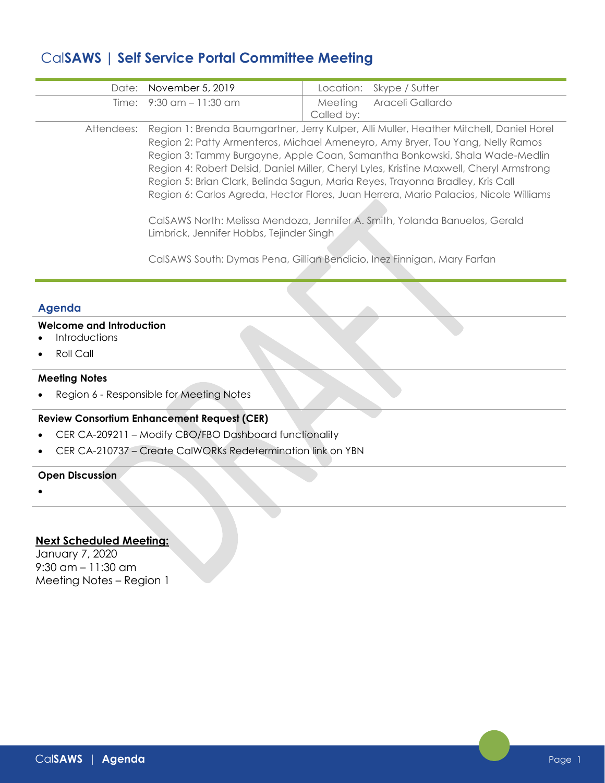# Cal**SAWS | Self Service Portal Committee Meeting**

| Date: November 5, 2019   |            | Location: Skype / Sutter |
|--------------------------|------------|--------------------------|
| Time: 9:30 am - 11:30 am | Called by: | Meeting Araceli Gallardo |

Attendees: Region 1: Brenda Baumgartner, Jerry Kulper, Alli Muller, Heather Mitchell, Daniel Horel Region 2: Patty Armenteros, Michael Ameneyro, Amy Bryer, Tou Yang, Nelly Ramos Region 3: Tammy Burgoyne, Apple Coan, Samantha Bonkowski, Shala Wade-Medlin Region 4: Robert Delsid, Daniel Miller, Cheryl Lyles, Kristine Maxwell, Cheryl Armstrong Region 5: Brian Clark, Belinda Sagun, Maria Reyes, Trayonna Bradley, Kris Call Region 6: Carlos Agreda, Hector Flores, Juan Herrera, Mario Palacios, Nicole Williams

> CalSAWS North: Melissa Mendoza, Jennifer A. Smith, Yolanda Banuelos, Gerald Limbrick, Jennifer Hobbs, Tejinder Singh

CalSAWS South: Dymas Pena, Gillian Bendicio, Inez Finnigan, Mary Farfan

# **Agenda**

### **Welcome and Introduction**

- **Introductions**
- Roll Call

#### **Meeting Notes**

• Region 6 - Responsible for Meeting Notes

# **Review Consortium Enhancement Request (CER)**

- CER CA-209211 Modify CBO/FBO Dashboard functionality
- CER CA-210737 Create CalWORKs Redetermination link on YBN

#### **Open Discussion**

•

## **Next Scheduled Meeting:**

January 7, 2020 9:30 am – 11:30 am Meeting Notes – Region 1